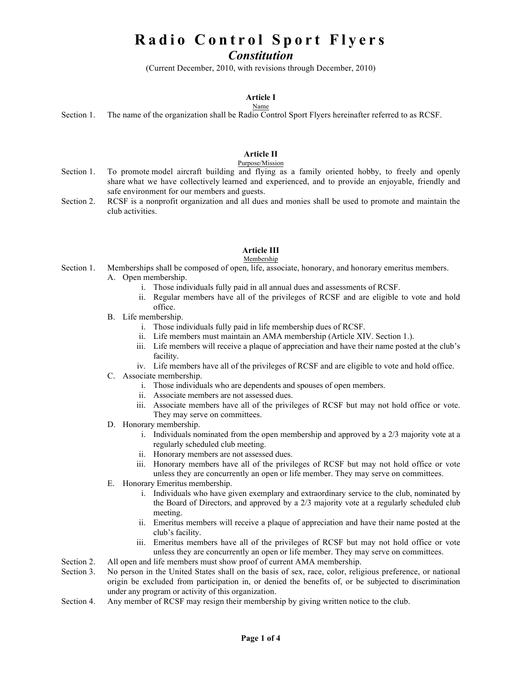# **Radio Control Sport Flyers**

# *Constitution*

(Current December, 2010, with revisions through December, 2010)

#### **Article I** Name

Section 1. The name of the organization shall be Radio Control Sport Flyers hereinafter referred to as RCSF.

# **Article II**

### Purpose/Mission

- Section 1. To promote model aircraft building and flying as a family oriented hobby, to freely and openly share what we have collectively learned and experienced, and to provide an enjoyable, friendly and safe environment for our members and guests.
- Section 2. RCSF is a nonprofit organization and all dues and monies shall be used to promote and maintain the club activities.

### **Article III**

### Membership

- Section 1. Memberships shall be composed of open, life, associate, honorary, and honorary emeritus members. A. Open membership.
	- i. Those individuals fully paid in all annual dues and assessments of RCSF.
	- ii. Regular members have all of the privileges of RCSF and are eligible to vote and hold office.
	- B. Life membership.
		- i. Those individuals fully paid in life membership dues of RCSF.
		- ii. Life members must maintain an AMA membership (Article XIV. Section 1.).
		- iii. Life members will receive a plaque of appreciation and have their name posted at the club's facility.
		- iv. Life members have all of the privileges of RCSF and are eligible to vote and hold office.
	- C. Associate membership.
		- i. Those individuals who are dependents and spouses of open members.
		- ii. Associate members are not assessed dues.
		- iii. Associate members have all of the privileges of RCSF but may not hold office or vote. They may serve on committees.
	- D. Honorary membership.
		- i. Individuals nominated from the open membership and approved by a 2/3 majority vote at a regularly scheduled club meeting.
		- ii. Honorary members are not assessed dues.
		- iii. Honorary members have all of the privileges of RCSF but may not hold office or vote unless they are concurrently an open or life member. They may serve on committees.
	- E. Honorary Emeritus membership.
		- i. Individuals who have given exemplary and extraordinary service to the club, nominated by the Board of Directors, and approved by a 2/3 majority vote at a regularly scheduled club meeting.
		- ii. Emeritus members will receive a plaque of appreciation and have their name posted at the club's facility.
		- iii. Emeritus members have all of the privileges of RCSF but may not hold office or vote unless they are concurrently an open or life member. They may serve on committees.
- Section 2. All open and life members must show proof of current AMA membership.
- Section 3. No person in the United States shall on the basis of sex, race, color, religious preference, or national origin be excluded from participation in, or denied the benefits of, or be subjected to discrimination under any program or activity of this organization.
- Section 4. Any member of RCSF may resign their membership by giving written notice to the club.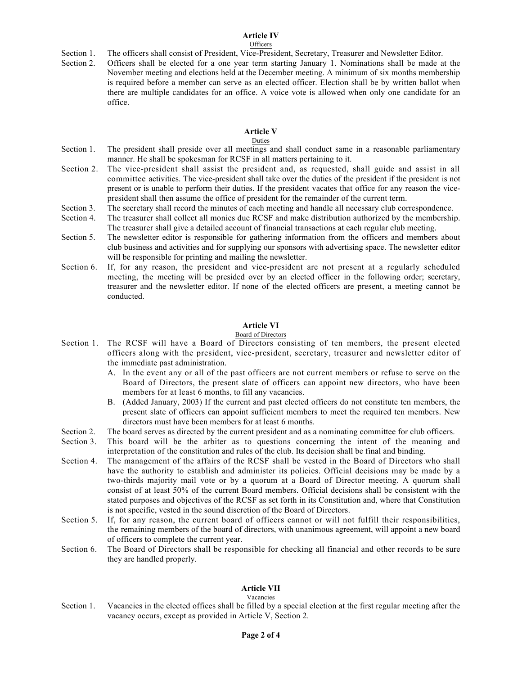# **Article IV**

#### **Officers**

- Section 1. The officers shall consist of President, Vice-President, Secretary, Treasurer and Newsletter Editor.
- Section 2. Officers shall be elected for a one year term starting January 1. Nominations shall be made at the November meeting and elections held at the December meeting. A minimum of six months membership is required before a member can serve as an elected officer. Election shall be by written ballot when there are multiple candidates for an office. A voice vote is allowed when only one candidate for an office.

### **Article V**

### Duties

- Section 1. The president shall preside over all meetings and shall conduct same in a reasonable parliamentary manner. He shall be spokesman for RCSF in all matters pertaining to it.
- Section 2. The vice-president shall assist the president and, as requested, shall guide and assist in all committee activities. The vice-president shall take over the duties of the president if the president is not present or is unable to perform their duties. If the president vacates that office for any reason the vicepresident shall then assume the office of president for the remainder of the current term.
- Section 3. The secretary shall record the minutes of each meeting and handle all necessary club correspondence.
- Section 4. The treasurer shall collect all monies due RCSF and make distribution authorized by the membership. The treasurer shall give a detailed account of financial transactions at each regular club meeting.
- Section 5. The newsletter editor is responsible for gathering information from the officers and members about club business and activities and for supplying our sponsors with advertising space. The newsletter editor will be responsible for printing and mailing the newsletter.
- Section 6. If, for any reason, the president and vice-president are not present at a regularly scheduled meeting, the meeting will be presided over by an elected officer in the following order; secretary, treasurer and the newsletter editor. If none of the elected officers are present, a meeting cannot be conducted.

### **Article VI**

### Board of Directors

- Section 1. The RCSF will have a Board of Directors consisting of ten members, the present elected officers along with the president, vice-president, secretary, treasurer and newsletter editor of the immediate past administration.
	- A. In the event any or all of the past officers are not current members or refuse to serve on the Board of Directors, the present slate of officers can appoint new directors, who have been members for at least 6 months, to fill any vacancies.
	- B. (Added January, 2003) If the current and past elected officers do not constitute ten members, the present slate of officers can appoint sufficient members to meet the required ten members. New directors must have been members for at least 6 months.
- Section 2. The board serves as directed by the current president and as a nominating committee for club officers.
- Section 3. This board will be the arbiter as to questions concerning the intent of the meaning and interpretation of the constitution and rules of the club. Its decision shall be final and binding.
- Section 4. The management of the affairs of the RCSF shall be vested in the Board of Directors who shall have the authority to establish and administer its policies. Official decisions may be made by a two-thirds majority mail vote or by a quorum at a Board of Director meeting. A quorum shall consist of at least 50% of the current Board members. Official decisions shall be consistent with the stated purposes and objectives of the RCSF as set forth in its Constitution and, where that Constitution is not specific, vested in the sound discretion of the Board of Directors.
- Section 5. If, for any reason, the current board of officers cannot or will not fulfill their responsibilities, the remaining members of the board of directors, with unanimous agreement, will appoint a new board of officers to complete the current year.
- Section 6. The Board of Directors shall be responsible for checking all financial and other records to be sure they are handled properly.

### **Article VII**

### **Vacancies**

Section 1. Vacancies in the elected offices shall be filled by a special election at the first regular meeting after the vacancy occurs, except as provided in Article V, Section 2.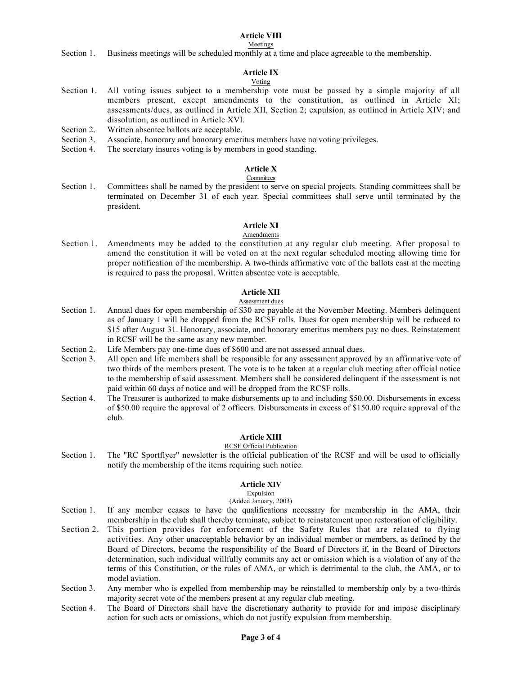### **Article VIII**

#### Meetings

Section 1. Business meetings will be scheduled monthly at a time and place agreeable to the membership.

# **Article IX**

### Voting

- Section 1. All voting issues subject to a membership vote must be passed by a simple majority of all members present, except amendments to the constitution, as outlined in Article XI; assessments/dues, as outlined in Article XII, Section 2; expulsion, as outlined in Article XIV; and dissolution, as outlined in Article XVI.
- Section 2. Written absentee ballots are acceptable.
- Section 3. Associate, honorary and honorary emeritus members have no voting privileges.
- Section 4. The secretary insures voting is by members in good standing.

#### **Article X Committees**

Section 1. Committees shall be named by the president to serve on special projects. Standing committees shall be terminated on December 31 of each year. Special committees shall serve until terminated by the president.

#### **Article XI** Amendments

Section 1. Amendments may be added to the constitution at any regular club meeting. After proposal to amend the constitution it will be voted on at the next regular scheduled meeting allowing time for proper notification of the membership. A two-thirds affirmative vote of the ballots cast at the meeting is required to pass the proposal. Written absentee vote is acceptable.

### **Article XII**

### Assessment dues

- Section 1. Annual dues for open membership of \$30 are payable at the November Meeting. Members delinquent as of January 1 will be dropped from the RCSF rolls. Dues for open membership will be reduced to \$15 after August 31. Honorary, associate, and honorary emeritus members pay no dues. Reinstatement in RCSF will be the same as any new member.
- Section 2. Life Members pay one-time dues of \$600 and are not assessed annual dues.
- Section 3. All open and life members shall be responsible for any assessment approved by an affirmative vote of two thirds of the members present. The vote is to be taken at a regular club meeting after official notice to the membership of said assessment. Members shall be considered delinquent if the assessment is not paid within 60 days of notice and will be dropped from the RCSF rolls.
- Section 4. The Treasurer is authorized to make disbursements up to and including \$50.00. Disbursements in excess of \$50.00 require the approval of 2 officers. Disbursements in excess of \$150.00 require approval of the club.

### **Article XIII**

### RCSF Official Publication

Section 1. The "RC Sportflyer" newsletter is the official publication of the RCSF and will be used to officially notify the membership of the items requiring such notice.

### **Article XIV**

# Expulsion

### (Added January, 2003)

- Section 1. If any member ceases to have the qualifications necessary for membership in the AMA, their membership in the club shall thereby terminate, subject to reinstatement upon restoration of eligibility.
- Section 2. This portion provides for enforcement of the Safety Rules that are related to flying activities. Any other unacceptable behavior by an individual member or members, as defined by the Board of Directors, become the responsibility of the Board of Directors if, in the Board of Directors determination, such individual willfully commits any act or omission which is a violation of any of the terms of this Constitution, or the rules of AMA, or which is detrimental to the club, the AMA, or to model aviation.
- Section 3. Any member who is expelled from membership may be reinstalled to membership only by a two-thirds majority secret vote of the members present at any regular club meeting.
- Section 4. The Board of Directors shall have the discretionary authority to provide for and impose disciplinary action for such acts or omissions, which do not justify expulsion from membership.